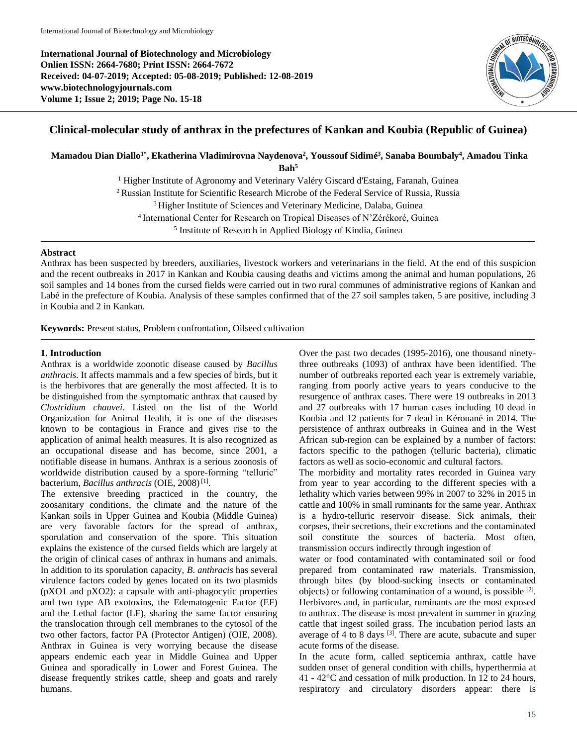**International Journal of Biotechnology and Microbiology Onlien ISSN: 2664-7680; Print ISSN: 2664-7672 Received: 04-07-2019; Accepted: 05-08-2019; Published: 12-08-2019 www.biotechnologyjournals.com Volume 1; Issue 2; 2019; Page No. 15-18**



# **Clinical-molecular study of anthrax in the prefectures of Kankan and Koubia (Republic of Guinea)**

**Mamadou Dian Diallo1\*, Ekatherina Vladimirovna Naydenova<sup>2</sup> , Youssouf Sidimé<sup>3</sup> , Sanaba Boumbaly<sup>4</sup> , Amadou Tinka** 

**Bah<sup>5</sup>**

<sup>1</sup> Higher Institute of Agronomy and Veterinary Valéry Giscard d'Estaing, Faranah, Guinea <sup>2</sup> Russian Institute for Scientific Research Microbe of the Federal Service of Russia, Russia <sup>3</sup> Higher Institute of Sciences and Veterinary Medicine, Dalaba, Guinea

<sup>4</sup>International Center for Research on Tropical Diseases of N'Zérékoré, Guinea

5 Institute of Research in Applied Biology of Kindia, Guinea

#### **Abstract**

Anthrax has been suspected by breeders, auxiliaries, livestock workers and veterinarians in the field. At the end of this suspicion and the recent outbreaks in 2017 in Kankan and Koubia causing deaths and victims among the animal and human populations, 26 soil samples and 14 bones from the cursed fields were carried out in two rural communes of administrative regions of Kankan and Labé in the prefecture of Koubia. Analysis of these samples confirmed that of the 27 soil samples taken, 5 are positive, including 3 in Koubia and 2 in Kankan.

**Keywords:** Present status, Problem confrontation, Oilseed cultivation

#### **1. Introduction**

Anthrax is a worldwide zoonotic disease caused by *Bacillus anthracis*. It affects mammals and a few species of birds, but it is the herbivores that are generally the most affected. It is to be distinguished from the symptomatic anthrax that caused by *Clostridium chauvei*. Listed on the list of the World Organization for Animal Health, it is one of the diseases known to be contagious in France and gives rise to the application of animal health measures. It is also recognized as an occupational disease and has become, since 2001, a notifiable disease in humans. Anthrax is a serious zoonosis of worldwide distribution caused by a spore-forming "telluric" bacterium, *Bacillus anthracis* (OIE, 2008)<sup>[1]</sup>.

The extensive breeding practiced in the country, the zoosanitary conditions, the climate and the nature of the Kankan soils in Upper Guinea and Koubia (Middle Guinea) are very favorable factors for the spread of anthrax, sporulation and conservation of the spore. This situation explains the existence of the cursed fields which are largely at the origin of clinical cases of anthrax in humans and animals. In addition to its sporulation capacity, *B*. *anthracis* has several virulence factors coded by genes located on its two plasmids (pXO1 and pXO2): a capsule with anti-phagocytic properties and two type AB exotoxins, the Edematogenic Factor (EF) and the Lethal factor (LF), sharing the same factor ensuring the translocation through cell membranes to the cytosol of the two other factors, factor PA (Protector Antigen) (OIE, 2008). Anthrax in Guinea is very worrying because the disease appears endemic each year in Middle Guinea and Upper Guinea and sporadically in Lower and Forest Guinea. The disease frequently strikes cattle, sheep and goats and rarely humans.

Over the past two decades (1995-2016), one thousand ninetythree outbreaks (1093) of anthrax have been identified. The number of outbreaks reported each year is extremely variable, ranging from poorly active years to years conducive to the resurgence of anthrax cases. There were 19 outbreaks in 2013 and 27 outbreaks with 17 human cases including 10 dead in Koubia and 12 patients for 7 dead in Kérouané in 2014. The persistence of anthrax outbreaks in Guinea and in the West African sub-region can be explained by a number of factors: factors specific to the pathogen (telluric bacteria), climatic factors as well as socio-economic and cultural factors.

The morbidity and mortality rates recorded in Guinea vary from year to year according to the different species with a lethality which varies between 99% in 2007 to 32% in 2015 in cattle and 100% in small ruminants for the same year. Anthrax is a hydro-telluric reservoir disease. Sick animals, their corpses, their secretions, their excretions and the contaminated soil constitute the sources of bacteria. Most often, transmission occurs indirectly through ingestion of

water or food contaminated with contaminated soil or food prepared from contaminated raw materials. Transmission, through bites (by blood-sucking insects or contaminated objects) or following contamination of a wound, is possible [2]. Herbivores and, in particular, ruminants are the most exposed to anthrax. The disease is most prevalent in summer in grazing cattle that ingest soiled grass. The incubation period lasts an average of 4 to 8 days <sup>[3]</sup>. There are acute, subacute and super acute forms of the disease.

In the acute form, called septicemia anthrax, cattle have sudden onset of general condition with chills, hyperthermia at 41 - 42°C and cessation of milk production. In 12 to 24 hours, respiratory and circulatory disorders appear: there is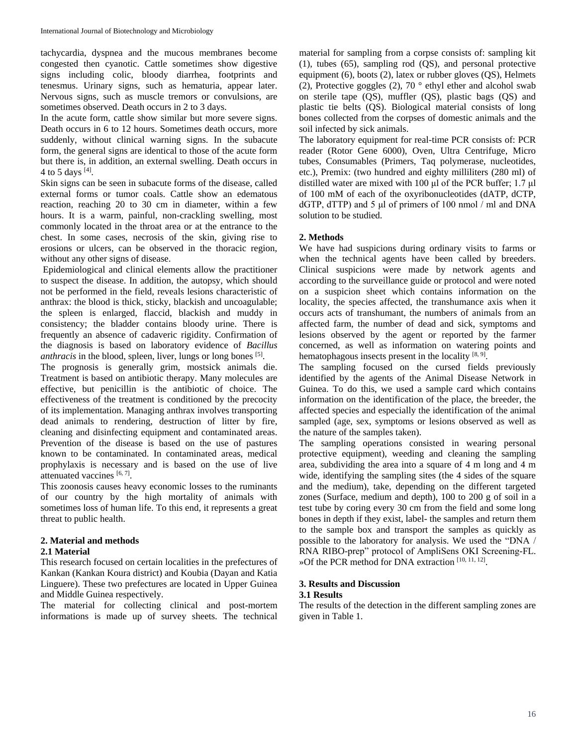tachycardia, dyspnea and the mucous membranes become congested then cyanotic. Cattle sometimes show digestive signs including colic, bloody diarrhea, footprints and tenesmus. Urinary signs, such as hematuria, appear later. Nervous signs, such as muscle tremors or convulsions, are sometimes observed. Death occurs in 2 to 3 days.

In the acute form, cattle show similar but more severe signs. Death occurs in 6 to 12 hours. Sometimes death occurs, more suddenly, without clinical warning signs. In the subacute form, the general signs are identical to those of the acute form but there is, in addition, an external swelling. Death occurs in 4 to 5 days  $^{[4]}$ .

Skin signs can be seen in subacute forms of the disease, called external forms or tumor coals. Cattle show an edematous reaction, reaching 20 to 30 cm in diameter, within a few hours. It is a warm, painful, non-crackling swelling, most commonly located in the throat area or at the entrance to the chest. In some cases, necrosis of the skin, giving rise to erosions or ulcers, can be observed in the thoracic region, without any other signs of disease.

Epidemiological and clinical elements allow the practitioner to suspect the disease. In addition, the autopsy, which should not be performed in the field, reveals lesions characteristic of anthrax: the blood is thick, sticky, blackish and uncoagulable; the spleen is enlarged, flaccid, blackish and muddy in consistency; the bladder contains bloody urine. There is frequently an absence of cadaveric rigidity. Confirmation of the diagnosis is based on laboratory evidence of *Bacillus anthracis* in the blood, spleen, liver, lungs or long bones <sup>[5]</sup>.

The prognosis is generally grim, mostsick animals die. Treatment is based on antibiotic therapy. Many molecules are effective, but penicillin is the antibiotic of choice. The effectiveness of the treatment is conditioned by the precocity of its implementation. Managing anthrax involves transporting dead animals to rendering, destruction of litter by fire, cleaning and disinfecting equipment and contaminated areas. Prevention of the disease is based on the use of pastures known to be contaminated. In contaminated areas, medical prophylaxis is necessary and is based on the use of live attenuated vaccines [6, 7].

This zoonosis causes heavy economic losses to the ruminants of our country by the high mortality of animals with sometimes loss of human life. To this end, it represents a great threat to public health.

### **2. Material and methods 2.1 Material**

This research focused on certain localities in the prefectures of Kankan (Kankan Koura district) and Koubia (Dayan and Katia Linguere). These two prefectures are located in Upper Guinea and Middle Guinea respectively.

The material for collecting clinical and post-mortem informations is made up of survey sheets. The technical material for sampling from a corpse consists of: sampling kit (1), tubes (65), sampling rod (QS), and personal protective equipment (6), boots (2), latex or rubber gloves (QS), Helmets (2), Protective goggles (2), 70 $\degree$  ethyl ether and alcohol swab on sterile tape (QS), muffler (QS), plastic bags (QS) and plastic tie belts (QS). Biological material consists of long bones collected from the corpses of domestic animals and the soil infected by sick animals.

The laboratory equipment for real-time PCR consists of: PCR reader (Rotor Gene 6000), Oven, Ultra Centrifuge, Micro tubes, Consumables (Primers, Taq polymerase, nucleotides, etc.), Premix: (two hundred and eighty milliliters (280 ml) of distilled water are mixed with 100 μl of the PCR buffer; 1.7 μl of 100 mM of each of the oxyribonucleotides (dATP, dCTP, dGTP, dTTP) and 5 μl of primers of 100 nmol / ml and DNA solution to be studied.

### **2. Methods**

We have had suspicions during ordinary visits to farms or when the technical agents have been called by breeders. Clinical suspicions were made by network agents and according to the surveillance guide or protocol and were noted on a suspicion sheet which contains information on the locality, the species affected, the transhumance axis when it occurs acts of transhumant, the numbers of animals from an affected farm, the number of dead and sick, symptoms and lesions observed by the agent or reported by the farmer concerned, as well as information on watering points and hematophagous insects present in the locality  $[8, 9]$ .

The sampling focused on the cursed fields previously identified by the agents of the Animal Disease Network in Guinea. To do this, we used a sample card which contains information on the identification of the place, the breeder, the affected species and especially the identification of the animal sampled (age, sex, symptoms or lesions observed as well as the nature of the samples taken).

The sampling operations consisted in wearing personal protective equipment), weeding and cleaning the sampling area, subdividing the area into a square of 4 m long and 4 m wide, identifying the sampling sites (the 4 sides of the square and the medium), take, depending on the different targeted zones (Surface, medium and depth), 100 to 200 g of soil in a test tube by coring every 30 cm from the field and some long bones in depth if they exist, label- the samples and return them to the sample box and transport the samples as quickly as possible to the laboratory for analysis. We used the "DNA / RNA RIBO-prep" protocol of AmpliSens OKI Screening-FL. »Of the PCR method for DNA extraction [10, 11, 12] .

### **3. Results and Discussion**

### **3.1 Results**

The results of the detection in the different sampling zones are given in Table 1.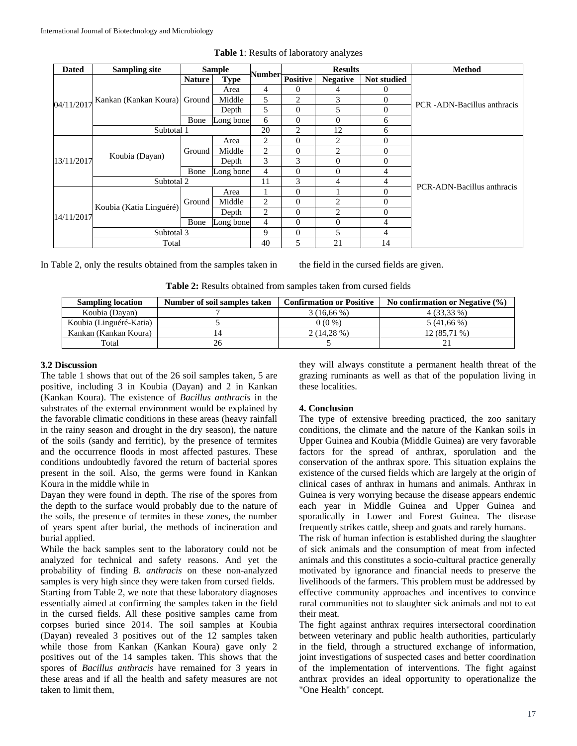| <b>Dated</b> | <b>Sampling site</b>    |               | <b>Sample</b> |         | <b>Results</b>  |                 |                    | <b>Method</b>               |
|--------------|-------------------------|---------------|---------------|---------|-----------------|-----------------|--------------------|-----------------------------|
| 04/11/2017   | Kankan (Kankan Koura)   | <b>Nature</b> | <b>Type</b>   | Number- | <b>Positive</b> | <b>Negative</b> | <b>Not studied</b> |                             |
|              |                         | Ground        | Area          | 4       | 0               | 4               | O                  | PCR -ADN-Bacillus anthracis |
|              |                         |               | Middle        | 5       | 2               | 3               | $\Omega$           |                             |
|              |                         |               | Depth         | 5       | 0               | 5               | $\Omega$           |                             |
|              |                         | Bone          | Long bone     | 6       | $\theta$        | $\Omega$        | 6                  |                             |
|              | Subtotal 1              |               |               | 20      | 2               | 12              | 6                  |                             |
| 13/11/2017   | Koubia (Dayan)          | Ground        | Area          | 2       | 0               | $\overline{c}$  | $\theta$           |                             |
|              |                         |               | Middle        | 2       | $\overline{0}$  | $\overline{c}$  | $\theta$           |                             |
|              |                         |               | Depth         | 3       | 3               | $\theta$        | $\Omega$           |                             |
|              |                         | Bone          | Long bone     | 4       | 0               | $\Omega$        | 4                  |                             |
|              | Subtotal 2              |               |               | 11      | 3               | 4               | 4                  | PCR-ADN-Bacillus anthracis  |
| 14/11/2017   | Koubia (Katia Linguéré) | Ground        | Area          |         | 0               |                 | $\theta$           |                             |
|              |                         |               | Middle        | 2       | 0               | $\overline{c}$  | $\Omega$           |                             |
|              |                         |               | Depth         | 2       | 0               | $\overline{c}$  | $\Omega$           |                             |
|              |                         | Bone          | Long bone     | 4       | $\theta$        | $\Omega$        | 4                  |                             |
|              | Subtotal 3              |               |               | 9       | $\theta$        | 5               | 4                  |                             |
|              | Total                   |               |               | 40      | 5               | 21              | 14                 |                             |

**Table 1**: Results of laboratory analyzes

In Table 2, only the results obtained from the samples taken in the field in the cursed fields are given.

**Table 2:** Results obtained from samples taken from cursed fields

| <b>Sampling location</b> | Number of soil samples taken | <b>Confirmation or Positive</b> | No confirmation or Negative $(\% )$ |
|--------------------------|------------------------------|---------------------------------|-------------------------------------|
| Koubia (Dayan)           |                              | 3(16,66%)                       | 4 (33,33 %)                         |
| Koubia (Linguéré-Katia)  |                              | $0(0\%)$                        | $5(41,66\%)$                        |
| Kankan (Kankan Koura)    | 14                           | $2(14.28\%)$                    | 12 (85,71 %)                        |
| Total                    | 26                           |                                 |                                     |

### **3.2 Discussion**

The table 1 shows that out of the 26 soil samples taken, 5 are positive, including 3 in Koubia (Dayan) and 2 in Kankan (Kankan Koura). The existence of *Bacillus anthracis* in the substrates of the external environment would be explained by the favorable climatic conditions in these areas (heavy rainfall in the rainy season and drought in the dry season), the nature of the soils (sandy and ferritic), by the presence of termites and the occurrence floods in most affected pastures. These conditions undoubtedly favored the return of bacterial spores present in the soil. Also, the germs were found in Kankan Koura in the middle while in

Dayan they were found in depth. The rise of the spores from the depth to the surface would probably due to the nature of the soils, the presence of termites in these zones, the number of years spent after burial, the methods of incineration and burial applied.

While the back samples sent to the laboratory could not be analyzed for technical and safety reasons. And yet the probability of finding *B. anthracis* on these non-analyzed samples is very high since they were taken from cursed fields. Starting from Table 2, we note that these laboratory diagnoses essentially aimed at confirming the samples taken in the field

in the cursed fields. All these positive samples came from corpses buried since 2014. The soil samples at Koubia (Dayan) revealed 3 positives out of the 12 samples taken while those from Kankan (Kankan Koura) gave only 2 positives out of the 14 samples taken. This shows that the spores of *Bacillus anthracis* have remained for 3 years in these areas and if all the health and safety measures are not taken to limit them,

they will always constitute a permanent health threat of the grazing ruminants as well as that of the population living in these localities.

## **4. Conclusion**

The type of extensive breeding practiced, the zoo sanitary conditions, the climate and the nature of the Kankan soils in Upper Guinea and Koubia (Middle Guinea) are very favorable factors for the spread of anthrax, sporulation and the conservation of the anthrax spore. This situation explains the existence of the cursed fields which are largely at the origin of clinical cases of anthrax in humans and animals. Anthrax in Guinea is very worrying because the disease appears endemic each year in Middle Guinea and Upper Guinea and sporadically in Lower and Forest Guinea. The disease frequently strikes cattle, sheep and goats and rarely humans.

The risk of human infection is established during the slaughter of sick animals and the consumption of meat from infected animals and this constitutes a socio-cultural practice generally motivated by ignorance and financial needs to preserve the livelihoods of the farmers. This problem must be addressed by effective community approaches and incentives to convince rural communities not to slaughter sick animals and not to eat their meat.

The fight against anthrax requires intersectoral coordination between veterinary and public health authorities, particularly in the field, through a structured exchange of information, joint investigations of suspected cases and better coordination of the implementation of interventions. The fight against anthrax provides an ideal opportunity to operationalize the "One Health" concept.